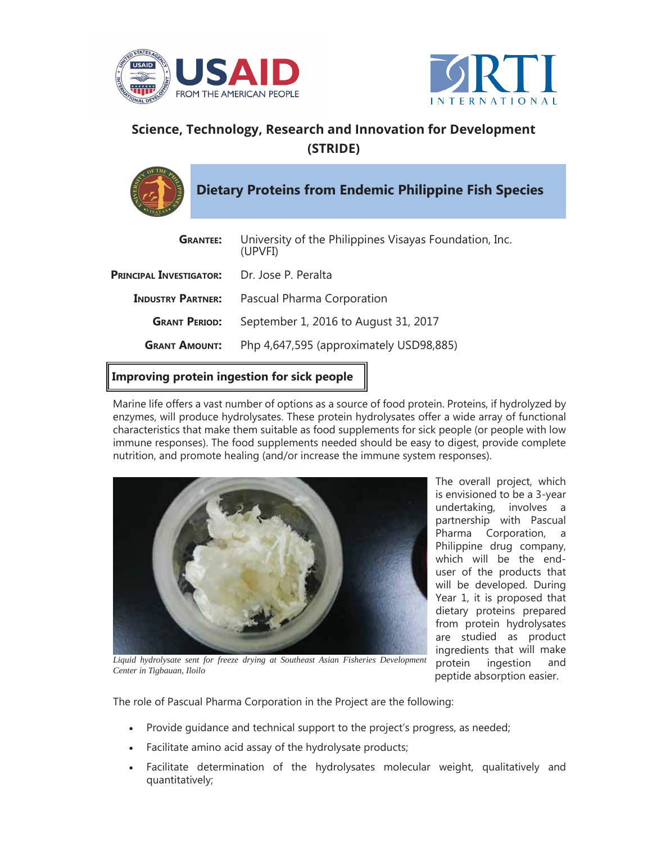



## **Science, Technology, Research and Innovation for Development (STRIDE)**

**Dietary Proteins from Endemic Philippine Fish Species**

| <b>GRANTEE:</b>                | University of the Philippines Visayas Foundation, Inc.<br>(UPVFI) |
|--------------------------------|-------------------------------------------------------------------|
| <b>PRINCIPAL INVESTIGATOR:</b> | Dr. Jose P. Peralta                                               |
| <b>INDUSTRY PARTNER:</b>       | Pascual Pharma Corporation                                        |
| <b>GRANT PERIOD:</b>           | September 1, 2016 to August 31, 2017                              |
| <b>GRANT AMOUNT:</b>           | Php 4,647,595 (approximately USD98,885)                           |
|                                |                                                                   |

**Improving protein ingestion for sick people**

Marine life offers a vast number of options as a source of food protein. Proteins, if hydrolyzed by enzymes, will produce hydrolysates. These protein hydrolysates offer a wide array of functional characteristics that make them suitable as food supplements for sick people (or people with low immune responses). The food supplements needed should be easy to digest, provide complete nutrition, and promote healing (and/or increase the immune system responses).



The overall project, which is envisioned to be a 3-year undertaking, involves a partnership with Pascual Pharma Corporation, a Philippine drug company, which will be the enduser of the products that will be developed. During Year 1, it is proposed that dietary proteins prepared from protein hydrolysates are studied as product ingredients that will make protein ingestion and peptide absorption easier.

Liquid hydrolysate sent for freeze drying at Southeast Asian Fisheries Development *Center in Tigbauan, Iloilo*

The role of Pascual Pharma Corporation in the Project are the following:

- •Provide guidance and technical support to the project's progress, as needed;
- Facilitate amino acid assay of the hydrolysate products;
- • Facilitate determination of the hydrolysates molecular weight, qualitatively and quantitatively;